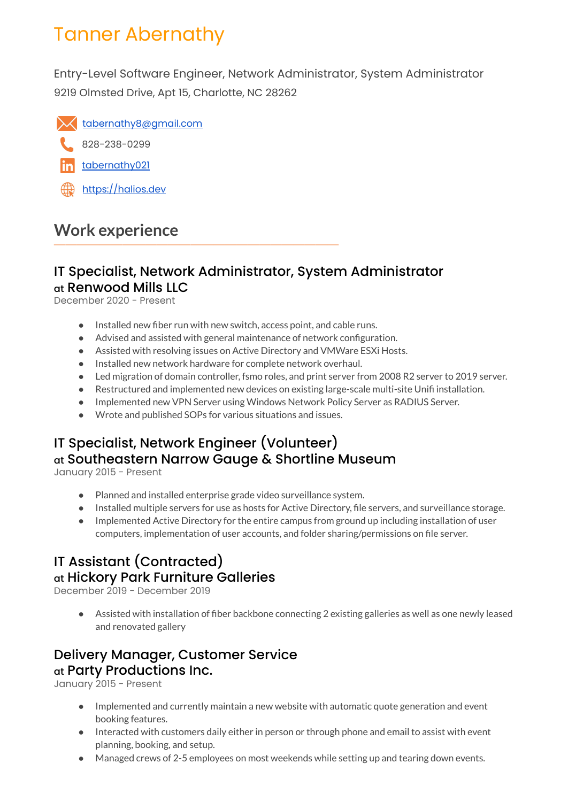# Tanner Abernathy

Entry-Level Software Engineer, Network Administrator, System Administrator 9219 Olmsted Drive, Apt 15, Charlotte, NC 28262



828-238-0299

- [tabernathy021](https://www.linkedin.com/in/tabernathy021/)
- <https://halios.dev>

# **Work experience**

#### IT Specialist, Network Administrator, System Administrator at Renwood Mills LLC

December 2020 - Present

- Installed new fiber run with new switch, access point, and cable runs.
- Advised and assisted with general maintenance of network configuration.
- Assisted with resolving issues on Active Directory and VMWare ESXi Hosts.
- Installed new network hardware for complete network overhaul.
- Led migration of domain controller, fsmo roles, and print server from 2008 R2 server to 2019 server.
- Restructured and implemented new devices on existing large-scale multi-site Unifi installation.
- Implemented new VPN Server using Windows Network Policy Server as RADIUS Server.
- Wrote and published SOPs for various situations and issues.

## IT Specialist, Network Engineer (Volunteer) at Southeastern Narrow Gauge & Shortline Museum

January 2015 - Present

- Planned and installed enterprise grade video surveillance system.
- Installed multiple servers for use as hosts for Active Directory, file servers, and surveillance storage.
- Implemented Active Directory for the entire campus from ground up including installation of user computers, implementation of user accounts, and folder sharing/permissions on file server.

#### IT Assistant (Contracted) at Hickory Park Furniture Galleries

December 2019 - December 2019

● Assisted with installation of fiber backbone connecting 2 existing galleries as well as one newly leased and renovated gallery

## Delivery Manager, Customer Service at Party Productions Inc.

January 2015 - Present

- Implemented and currently maintain a new website with automatic quote generation and event booking features.
- Interacted with customers daily either in person or through phone and email to assist with event planning, booking, and setup.
- Managed crews of 2-5 employees on most weekends while setting up and tearing down events.